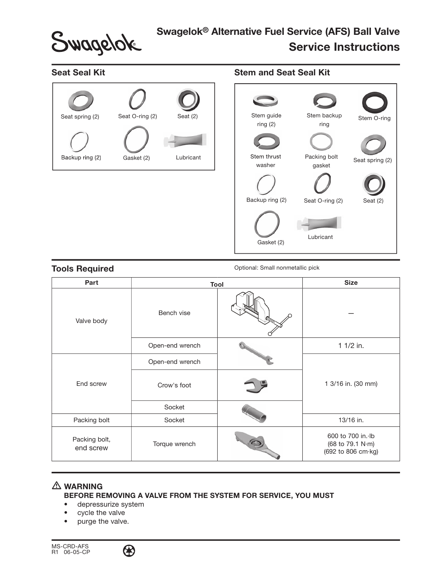Swagelok

# Swagelok® Alternative Fuel Service (AFS) Ball Valve Service Instructions

## Seat Seal Kit



### Stem and Seat Seal Kit



Tools Required **The Exercise Sequired** Optional: Small nonmetallic pick

| Part                       | Tool            |  | <b>Size</b>                                                 |
|----------------------------|-----------------|--|-------------------------------------------------------------|
| Valve body                 | Bench vise      |  |                                                             |
|                            | Open-end wrench |  | 1 1/2 in.                                                   |
| End screw                  | Open-end wrench |  | 1 3/16 in. (30 mm)                                          |
|                            | Crow's foot     |  |                                                             |
|                            | Socket          |  |                                                             |
| Packing bolt               | Socket          |  | 13/16 in.                                                   |
| Packing bolt,<br>end screw | Torque wrench   |  | 600 to 700 in. Ib<br>(68 to 79.1 N·m)<br>(692 to 806 cm·kg) |

# **A** WARNING

BEFORE REMOVING A VALVE FROM THE SYSTEM FOR SERVICE, YOU MUST

- depressurize system
- cycle the valve
- purge the valve.

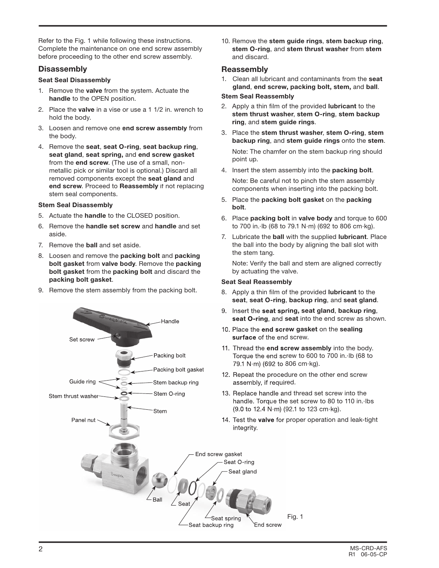Refer to the Fig. 1 while following these instructions. Complete the maintenance on one end screw assembly before proceeding to the other end screw assembly.

#### **Disassembly**

#### Seat Seal Disassembly

- 1. Remove the valve from the system. Actuate the handle to the OPEN position.
- 2. Place the valve in a vise or use a 1 1/2 in. wrench to hold the body.
- 3. Loosen and remove one end screw assembly from the body.
- 4. Remove the seat, seat O-ring, seat backup ring, seat gland, seat spring, and end screw gasket from the end screw. (The use of a small, nonmetallic pick or similar tool is optional.) Discard all removed components except the seat gland and end screw. Proceed to Reassembly if not replacing stem seal components.

#### Stem Seal Disassembly

- 5. Actuate the handle to the CLOSED position.
- 6. Remove the handle set screw and handle and set aside.
- 7. Remove the ball and set aside.
- 8. Loosen and remove the packing bolt and packing bolt gasket from valve body. Remove the packing bolt gasket from the packing bolt and discard the packing bolt gasket.
- 9. Remove the stem assembly from the packing bolt.



10. Remove the stem guide rings, stem backup ring, stem O-ring, and stem thrust washer from stem and discard.

#### Reassembly

1. Clean all lubricant and contaminants from the seat gland, end screw, packing bolt, stem, and ball.

#### Stem Seal Reassembly

- 2. Apply a thin film of the provided lubricant to the stem thrust washer, stem O-ring, stem backup ring, and stem guide rings.
- 3. Place the stem thrust washer, stem O-ring, stem backup ring, and stem guide rings onto the stem. Note: The chamfer on the stem backup ring should point up.
- 4. Insert the stem assembly into the packing bolt.

 Note: Be careful not to pinch the stem assembly components when inserting into the packing bolt.

- 5. Place the packing bolt gasket on the packing bolt.
- 6. Place packing bolt in valve body and torque to 600 to 700 in.·lb (68 to 79.1 N·m) (692 to 806 cm·kg).
- 7. Lubricate the ball with the supplied lubricant. Place the ball into the body by aligning the ball slot with the stem tang.

 Note: Verify the ball and stem are aligned correctly by actuating the valve.

#### Seat Seal Reassembly

- 8. Apply a thin film of the provided lubricant to the seat, seat O-ring, backup ring, and seat gland.
- seat O-ring, and seat into the end screw as shown.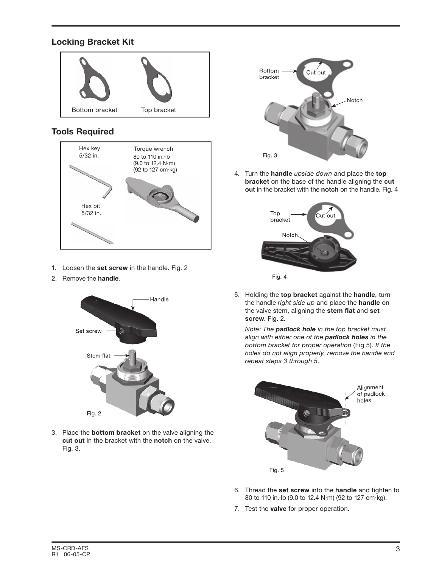# Locking Bracket Kit



# Tools Required



- 1. Loosen the set screw in the handle. Fig. 2
- 2. Remove the handle.



3. Place the bottom bracket on the valve aligning the cut out in the bracket with the notch on the valve. Fig. 3.



4. Turn the handle upside down and place the top bracket on the base of the handle aligning the cut out in the bracket with the notch on the handle. Fig. 4



5. Holding the top bracket against the handle, turn the handle right side up and place the handle on the valve stem, aligning the stem flat and set screw. Fig. 2.

Note: The **padlock hole** in the top bracket must align with either one of the padlock holes in the bottom bracket for proper operation (Fig 5). If the holes do not align properly, remove the handle and repeat steps 3 through 5.



- 6. Thread the set screw into the handle and tighten to 80 to 110 in.·lb (9.0 to 12.4 N·m) (92 to 127 cm·kg).
- 7. Test the **valve** for proper operation.